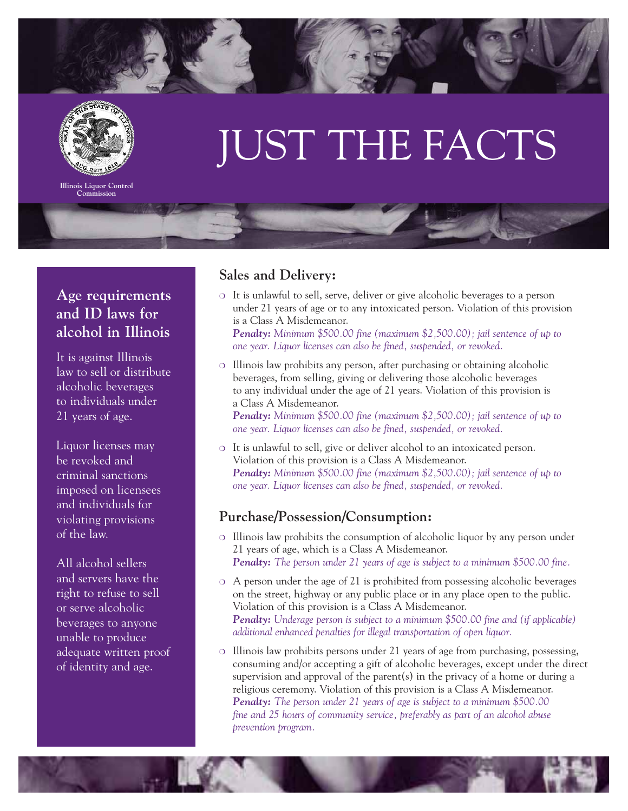



**Illinois Liquor Control Commission**

# JUST THE FACTS

## **Age requirements and ID laws for alcohol in Illinois**

It is against Illinois law to sell or distribute alcoholic beverages to individuals under 21 years of age.

Liquor licenses may be revoked and criminal sanctions imposed on licensees and individuals for violating provisions of the law.

All alcohol sellers and servers have the right to refuse to sell or serve alcoholic beverages to anyone unable to produce adequate written proof of identity and age.

### **Sales and Delivery:**

❍ It is unlawful to sell, serve, deliver or give alcoholic beverages to a person under 21 years of age or to any intoxicated person. Violation of this provision is a Class A Misdemeanor. *Penalty: Minimum \$500.00 fine (maximum \$2,500.00); jail sentence of up to* 

*one year. Liquor licenses can also be fined, suspended, or revoked.*

- ❍ Illinois law prohibits any person, after purchasing or obtaining alcoholic beverages, from selling, giving or delivering those alcoholic beverages to any individual under the age of 21 years. Violation of this provision is a Class A Misdemeanor. *Penalty: Minimum \$500.00 fine (maximum \$2,500.00); jail sentence of up to one year. Liquor licenses can also be fined, suspended, or revoked.*
- ❍ It is unlawful to sell, give or deliver alcohol to an intoxicated person. Violation of this provision is a Class A Misdemeanor. *Penalty: Minimum \$500.00 fine (maximum \$2,500.00); jail sentence of up to one year. Liquor licenses can also be fined, suspended, or revoked.*

#### **Purchase/Possession/Consumption:**

- ❍ Illinois law prohibits the consumption of alcoholic liquor by any person under 21 years of age, which is a Class A Misdemeanor. *Penalty: The person under 21 years of age is subject to a minimum \$500.00 fine.*
- ❍ A person under the age of 21 is prohibited from possessing alcoholic beverages on the street, highway or any public place or in any place open to the public. Violation of this provision is a Class A Misdemeanor. *Penalty: Underage person is subject to a minimum \$500.00 fine and (if applicable) additional enhanced penalties for illegal transportation of open liquor.*
- ❍ Illinois law prohibits persons under 21 years of age from purchasing, possessing, consuming and/or accepting a gift of alcoholic beverages, except under the direct supervision and approval of the parent(s) in the privacy of a home or during a religious ceremony. Violation of this provision is a Class A Misdemeanor. *Penalty: The person under 21 years of age is subject to a minimum \$500.00 fine and 25 hours of community service, preferably as part of an alcohol abuse prevention program.*